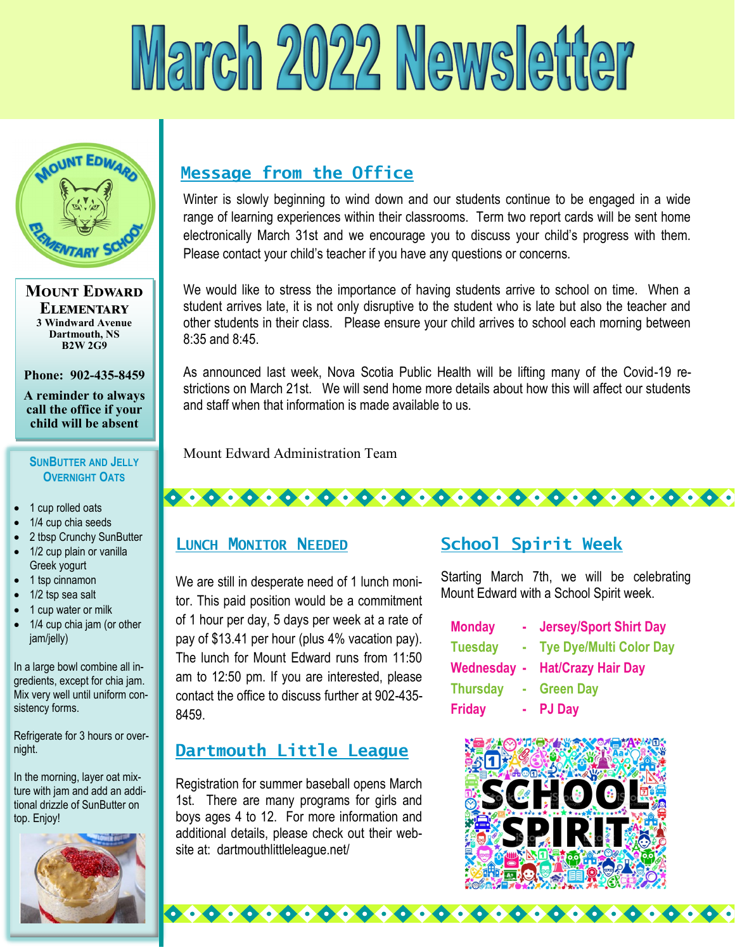# March 2022 Newsletter



**Mount Edward Elementary 3 Windward Avenue Dartmouth, NS B2W 2G9**

**Phone: 902-435-8459**

**A reminder to always call the office if your child will be absent** 

#### **SUNBUTTER AND JELLY OVERNIGHT OATS**

- 1 cup rolled oats
- 1/4 cup chia seeds
- 2 tbsp Crunchy SunButter
- 1/2 cup plain or vanilla Greek yogurt
- 1 tsp cinnamon
- 1/2 tsp sea salt
- 1 cup water or milk
- 1/4 cup chia jam (or other jam/jelly)

In a large bowl combine all ingredients, except for chia jam. Mix very well until uniform consistency forms.

Refrigerate for 3 hours or overnight.

In the morning, layer oat mixture with jam and add an additional drizzle of SunButter on top. Enjoy!



# **Message from the Office**

Winter is slowly beginning to wind down and our students continue to be engaged in a wide range of learning experiences within their classrooms. Term two report cards will be sent home electronically March 31st and we encourage you to discuss your child's progress with them. Please contact your child's teacher if you have any questions or concerns.

We would like to stress the importance of having students arrive to school on time. When a student arrives late, it is not only disruptive to the student who is late but also the teacher and other students in their class. Please ensure your child arrives to school each morning between 8:35 and 8:45.

As announced last week, Nova Scotia Public Health will be lifting many of the Covid-19 restrictions on March 21st. We will send home more details about how this will affect our students and staff when that information is made available to us.

Mount Edward Administration Team

# **LUNCH MONITOR NEEDED**

We are still in desperate need of 1 lunch monitor. This paid position would be a commitment of 1 hour per day, 5 days per week at a rate of pay of \$13.41 per hour (plus 4% vacation pay). The lunch for Mount Edward runs from 11:50 am to 12:50 pm. If you are interested, please contact the office to discuss further at 902-435- 8459.

# **Dartmouth Little League**

Registration for summer baseball opens March 1st. There are many programs for girls and boys ages 4 to 12. For more information and additional details, please check out their website at: dartmouthlittleleague.net/

 $\bullet$   $\bullet$   $\bullet$   $\bullet$ 

6.6

 $\bullet \bullet \bullet \bullet \bullet$ 

# **School Spirit Week**

<del>.........................</del>

Starting March 7th, we will be celebrating Mount Edward with a School Spirit week.

| <b>Monday</b>   | <b>Jersey/Sport Shirt Day</b>         |
|-----------------|---------------------------------------|
| <b>Tuesday</b>  | <b>Tye Dye/Multi Color Day</b>        |
|                 | <b>Wednesday - Hat/Crazy Hair Day</b> |
| <b>Thursday</b> | <b>Green Day</b>                      |
| <b>Friday</b>   | - PJ Day                              |
|                 |                                       |



 $\bullet\bullet\bullet\bullet\bullet\bullet\bullet\bullet$